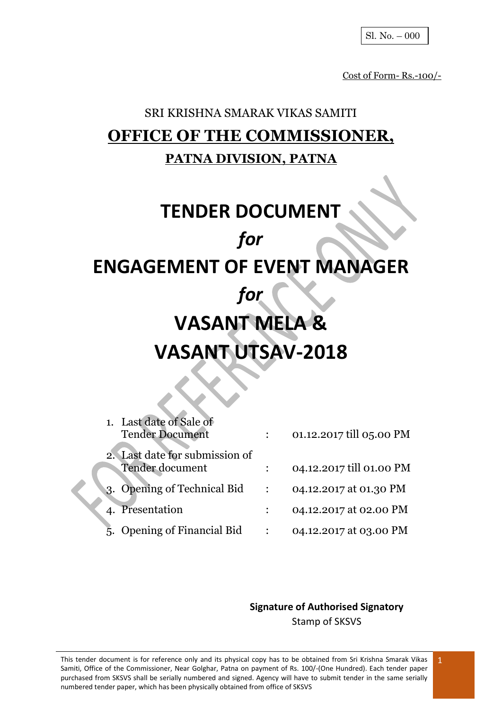Cost of Form- Rs.-100/-

# SRI KRISHNA SMARAK VIKAS SAMITI **OFFICE OF THE COMMISSIONER, PATNA DIVISION, PATNA**

# **TENDER DOCUMENT** *for* **ENGAGEMENT OF EVENT MANAGER** *for* **VASANT MELA & VASANT UTSAV-2018**

| 1. Last date of Sale of<br><b>Tender Document</b>        | 01.12.2017 till 05.00 PM |
|----------------------------------------------------------|--------------------------|
| 2. Last date for submission of<br><b>Tender document</b> | 04.12.2017 till 01.00 PM |
| 3. Opening of Technical Bid                              | 04.12.2017 at 01.30 PM   |
| 4. Presentation                                          | 04.12.2017 at 02.00 PM   |
| 5. Opening of Financial Bid                              | 04.12.2017 at 03.00 PM   |

**Signature of Authorised Signatory** Stamp of SKSVS

This tender document is for reference only and its physical copy has to be obtained from Sri Krishna Smarak Vikas Samiti, Office of the Commissioner, Near Golghar, Patna on payment of Rs. 100/-(One Hundred). Each tender paper purchased from SKSVS shall be serially numbered and signed. Agency will have to submit tender in the same serially numbered tender paper, which has been physically obtained from office of SKSVS 1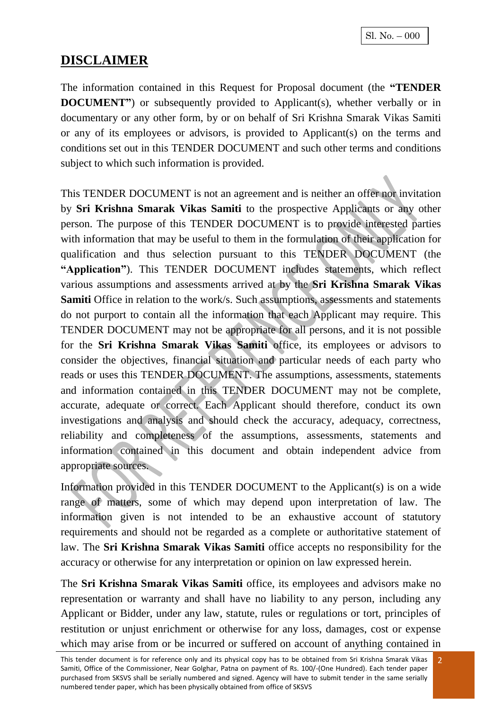## **DISCLAIMER**

The information contained in this Request for Proposal document (the **"TENDER DOCUMENT**") or subsequently provided to Applicant(s), whether verbally or in documentary or any other form, by or on behalf of Sri Krishna Smarak Vikas Samiti or any of its employees or advisors, is provided to Applicant(s) on the terms and conditions set out in this TENDER DOCUMENT and such other terms and conditions subject to which such information is provided.

This TENDER DOCUMENT is not an agreement and is neither an offer nor invitation by **Sri Krishna Smarak Vikas Samiti** to the prospective Applicants or any other person. The purpose of this TENDER DOCUMENT is to provide interested parties with information that may be useful to them in the formulation of their application for qualification and thus selection pursuant to this TENDER DOCUMENT (the **"Application"**). This TENDER DOCUMENT includes statements, which reflect various assumptions and assessments arrived at by the **Sri Krishna Smarak Vikas Samiti** Office in relation to the work/s. Such assumptions, assessments and statements do not purport to contain all the information that each Applicant may require. This TENDER DOCUMENT may not be appropriate for all persons, and it is not possible for the **Sri Krishna Smarak Vikas Samiti** office, its employees or advisors to consider the objectives, financial situation and particular needs of each party who reads or uses this TENDER DOCUMENT. The assumptions, assessments, statements and information contained in this TENDER DOCUMENT may not be complete, accurate, adequate or correct. Each Applicant should therefore, conduct its own investigations and analysis and should check the accuracy, adequacy, correctness, reliability and completeness of the assumptions, assessments, statements and information contained in this document and obtain independent advice from appropriate sources.

Information provided in this TENDER DOCUMENT to the Applicant(s) is on a wide range of matters, some of which may depend upon interpretation of law. The information given is not intended to be an exhaustive account of statutory requirements and should not be regarded as a complete or authoritative statement of law. The **Sri Krishna Smarak Vikas Samiti** office accepts no responsibility for the accuracy or otherwise for any interpretation or opinion on law expressed herein.

The **Sri Krishna Smarak Vikas Samiti** office, its employees and advisors make no representation or warranty and shall have no liability to any person, including any Applicant or Bidder, under any law, statute, rules or regulations or tort, principles of restitution or unjust enrichment or otherwise for any loss, damages, cost or expense which may arise from or be incurred or suffered on account of anything contained in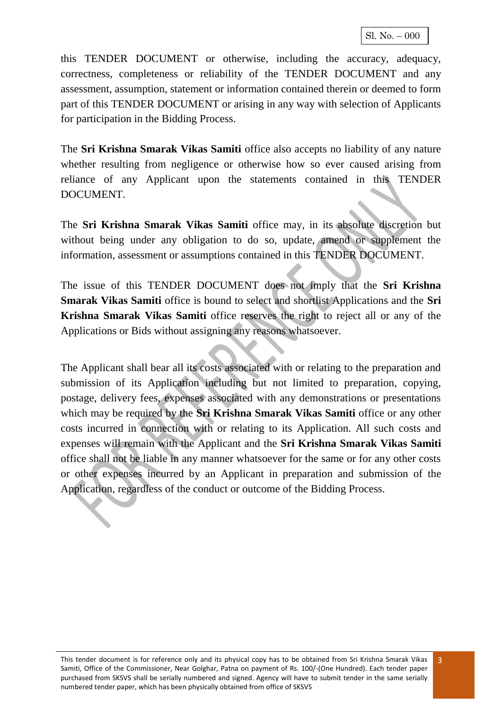this TENDER DOCUMENT or otherwise, including the accuracy, adequacy, correctness, completeness or reliability of the TENDER DOCUMENT and any assessment, assumption, statement or information contained therein or deemed to form part of this TENDER DOCUMENT or arising in any way with selection of Applicants for participation in the Bidding Process.

The **Sri Krishna Smarak Vikas Samiti** office also accepts no liability of any nature whether resulting from negligence or otherwise how so ever caused arising from reliance of any Applicant upon the statements contained in this TENDER DOCUMENT.

The **Sri Krishna Smarak Vikas Samiti** office may, in its absolute discretion but without being under any obligation to do so, update, amend or supplement the information, assessment or assumptions contained in this TENDER DOCUMENT.

The issue of this TENDER DOCUMENT does not imply that the **Sri Krishna Smarak Vikas Samiti** office is bound to select and shortlist Applications and the **Sri Krishna Smarak Vikas Samiti** office reserves the right to reject all or any of the Applications or Bids without assigning any reasons whatsoever.

The Applicant shall bear all its costs associated with or relating to the preparation and submission of its Application including but not limited to preparation, copying, postage, delivery fees, expenses associated with any demonstrations or presentations which may be required by the **Sri Krishna Smarak Vikas Samiti** office or any other costs incurred in connection with or relating to its Application. All such costs and expenses will remain with the Applicant and the **Sri Krishna Smarak Vikas Samiti** office shall not be liable in any manner whatsoever for the same or for any other costs or other expenses incurred by an Applicant in preparation and submission of the Application, regardless of the conduct or outcome of the Bidding Process.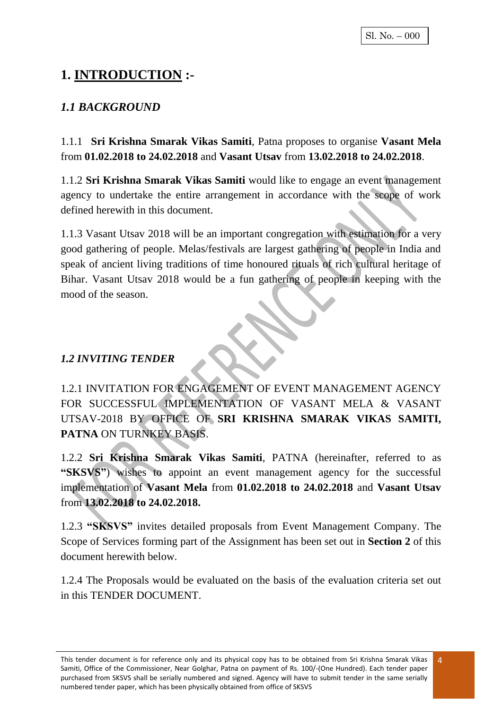# **1. INTRODUCTION :-**

## *1.1 BACKGROUND*

1.1.1 **Sri Krishna Smarak Vikas Samiti**, Patna proposes to organise **Vasant Mela**  from **01.02.2018 to 24.02.2018** and **Vasant Utsav** from **13.02.2018 to 24.02.2018**.

1.1.2 **Sri Krishna Smarak Vikas Samiti** would like to engage an event management agency to undertake the entire arrangement in accordance with the scope of work defined herewith in this document.

1.1.3 Vasant Utsav 2018 will be an important congregation with estimation for a very good gathering of people. Melas/festivals are largest gathering of people in India and speak of ancient living traditions of time honoured rituals of rich cultural heritage of Bihar. Vasant Utsav 2018 would be a fun gathering of people in keeping with the mood of the season.

#### *1.2 INVITING TENDER*

1.2.1 INVITATION FOR ENGAGEMENT OF EVENT MANAGEMENT AGENCY FOR SUCCESSFUL IMPLEMENTATION OF VASANT MELA & VASANT UTSAV-2018 BY OFFICE OF **SRI KRISHNA SMARAK VIKAS SAMITI, PATNA** ON TURNKEY BASIS.

1.2.2 **Sri Krishna Smarak Vikas Samiti**, PATNA (hereinafter, referred to as **"SKSVS"**) wishes to appoint an event management agency for the successful implementation of **Vasant Mela** from **01.02.2018 to 24.02.2018** and **Vasant Utsav**  from **13.02.2018 to 24.02.2018.**

1.2.3 **"SKSVS"** invites detailed proposals from Event Management Company. The Scope of Services forming part of the Assignment has been set out in **Section 2** of this document herewith below.

1.2.4 The Proposals would be evaluated on the basis of the evaluation criteria set out in this TENDER DOCUMENT.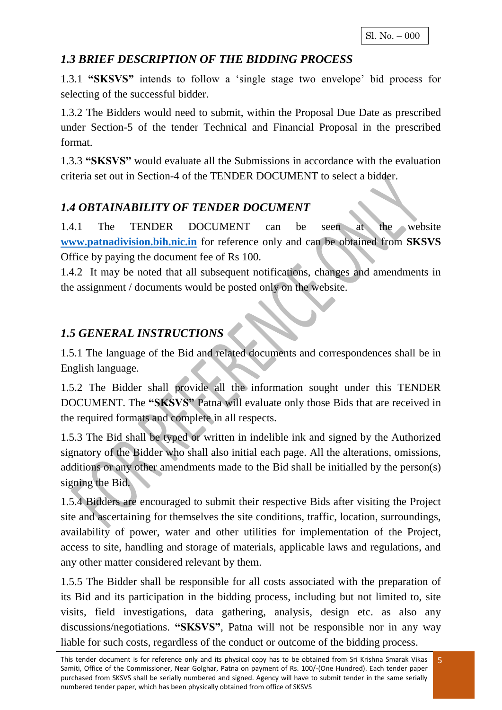### *1.3 BRIEF DESCRIPTION OF THE BIDDING PROCESS*

1.3.1 **"SKSVS"** intends to follow a 'single stage two envelope' bid process for selecting of the successful bidder.

1.3.2 The Bidders would need to submit, within the Proposal Due Date as prescribed under Section-5 of the tender Technical and Financial Proposal in the prescribed format.

1.3.3 **"SKSVS"** would evaluate all the Submissions in accordance with the evaluation criteria set out in Section-4 of the TENDER DOCUMENT to select a bidder.

## *1.4 OBTAINABILITY OF TENDER DOCUMENT*

1.4.1 The TENDER DOCUMENT can be seen at the website **[www.patnadivision.bih.nic.in](http://www.patnadivision.bih.nic.in/)** for reference only and can be obtained from **SKSVS** Office by paying the document fee of Rs 100.

1.4.2 It may be noted that all subsequent notifications, changes and amendments in the assignment / documents would be posted only on the website.

### *1.5 GENERAL INSTRUCTIONS*

1.5.1 The language of the Bid and related documents and correspondences shall be in English language.

1.5.2 The Bidder shall provide all the information sought under this TENDER DOCUMENT. The **"SKSVS"** Patna will evaluate only those Bids that are received in the required formats and complete in all respects.

1.5.3 The Bid shall be typed or written in indelible ink and signed by the Authorized signatory of the Bidder who shall also initial each page. All the alterations, omissions, additions or any other amendments made to the Bid shall be initialled by the person(s) signing the Bid.

1.5.4 Bidders are encouraged to submit their respective Bids after visiting the Project site and ascertaining for themselves the site conditions, traffic, location, surroundings, availability of power, water and other utilities for implementation of the Project, access to site, handling and storage of materials, applicable laws and regulations, and any other matter considered relevant by them.

1.5.5 The Bidder shall be responsible for all costs associated with the preparation of its Bid and its participation in the bidding process, including but not limited to, site visits, field investigations, data gathering, analysis, design etc. as also any discussions/negotiations. **"SKSVS"**, Patna will not be responsible nor in any way liable for such costs, regardless of the conduct or outcome of the bidding process.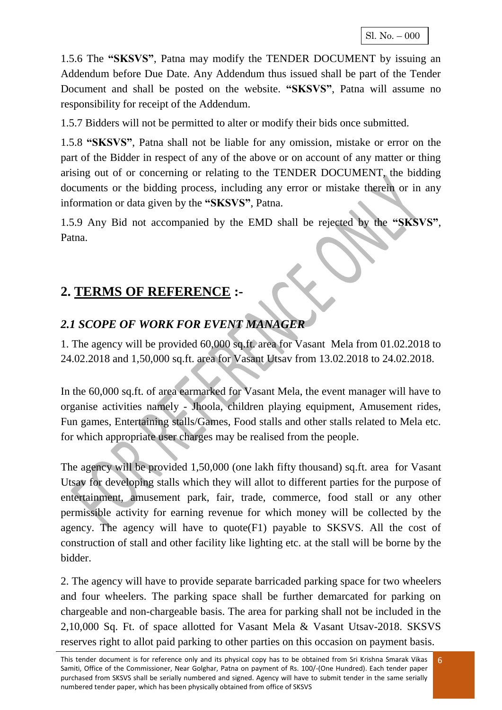1.5.6 The **"SKSVS"**, Patna may modify the TENDER DOCUMENT by issuing an Addendum before Due Date. Any Addendum thus issued shall be part of the Tender Document and shall be posted on the website. **"SKSVS"**, Patna will assume no responsibility for receipt of the Addendum.

1.5.7 Bidders will not be permitted to alter or modify their bids once submitted.

1.5.8 **"SKSVS"**, Patna shall not be liable for any omission, mistake or error on the part of the Bidder in respect of any of the above or on account of any matter or thing arising out of or concerning or relating to the TENDER DOCUMENT, the bidding documents or the bidding process, including any error or mistake therein or in any information or data given by the **"SKSVS"**, Patna.

1.5.9 Any Bid not accompanied by the EMD shall be rejected by the **"SKSVS"**, Patna.

# **2. TERMS OF REFERENCE :-**

## *2.1 SCOPE OF WORK FOR EVENT MANAGER*

1. The agency will be provided 60,000 sq.ft. area for Vasant Mela from 01.02.2018 to 24.02.2018 and 1,50,000 sq.ft. area for Vasant Utsav from 13.02.2018 to 24.02.2018.

In the 60,000 sq.ft. of area earmarked for Vasant Mela, the event manager will have to organise activities namely - Jhoola, children playing equipment, Amusement rides, Fun games, Entertaining stalls/Games, Food stalls and other stalls related to Mela etc. for which appropriate user charges may be realised from the people.

The agency will be provided 1,50,000 (one lakh fifty thousand) sq.ft. area for Vasant Utsav for developing stalls which they will allot to different parties for the purpose of entertainment, amusement park, fair, trade, commerce, food stall or any other permissible activity for earning revenue for which money will be collected by the agency. The agency will have to quote(F1) payable to SKSVS. All the cost of construction of stall and other facility like lighting etc. at the stall will be borne by the bidder.

2. The agency will have to provide separate barricaded parking space for two wheelers and four wheelers. The parking space shall be further demarcated for parking on chargeable and non-chargeable basis. The area for parking shall not be included in the 2,10,000 Sq. Ft. of space allotted for Vasant Mela & Vasant Utsav-2018. SKSVS reserves right to allot paid parking to other parties on this occasion on payment basis.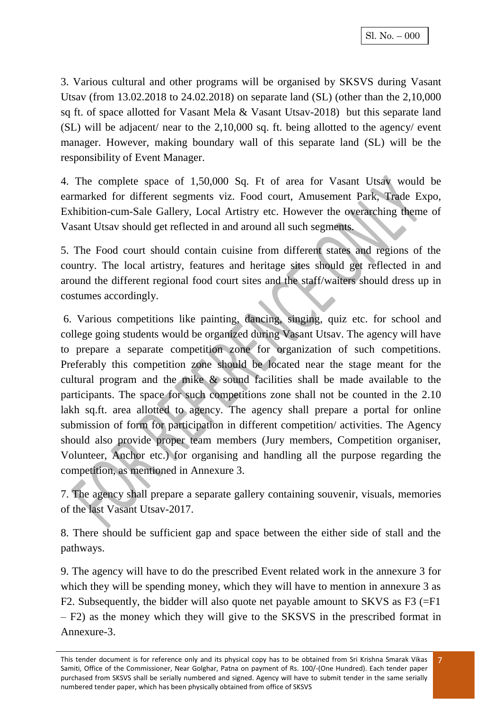3. Various cultural and other programs will be organised by SKSVS during Vasant Utsav (from 13.02.2018 to 24.02.2018) on separate land (SL) (other than the 2,10,000 sq ft. of space allotted for Vasant Mela & Vasant Utsav-2018) but this separate land  $(SL)$  will be adjacent/ near to the 2,10,000 sq. ft. being allotted to the agency/ event manager. However, making boundary wall of this separate land (SL) will be the responsibility of Event Manager.

4. The complete space of 1,50,000 Sq. Ft of area for Vasant Utsav would be earmarked for different segments viz. Food court, Amusement Park, Trade Expo, Exhibition-cum-Sale Gallery, Local Artistry etc. However the overarching theme of Vasant Utsav should get reflected in and around all such segments.

5. The Food court should contain cuisine from different states and regions of the country. The local artistry, features and heritage sites should get reflected in and around the different regional food court sites and the staff/waiters should dress up in costumes accordingly.

6. Various competitions like painting, dancing, singing, quiz etc. for school and college going students would be organized during Vasant Utsav. The agency will have to prepare a separate competition zone for organization of such competitions. Preferably this competition zone should be located near the stage meant for the cultural program and the mike & sound facilities shall be made available to the participants. The space for such competitions zone shall not be counted in the 2.10 lakh sq.ft. area allotted to agency. The agency shall prepare a portal for online submission of form for participation in different competition/ activities. The Agency should also provide proper team members (Jury members, Competition organiser, Volunteer, Anchor etc.) for organising and handling all the purpose regarding the competition, as mentioned in Annexure 3.

7. The agency shall prepare a separate gallery containing souvenir, visuals, memories of the last Vasant Utsav-2017.

8. There should be sufficient gap and space between the either side of stall and the pathways.

9. The agency will have to do the prescribed Event related work in the annexure 3 for which they will be spending money, which they will have to mention in annexure 3 as F2. Subsequently, the bidder will also quote net payable amount to SKVS as F3 (=F1 – F2) as the money which they will give to the SKSVS in the prescribed format in Annexure-3.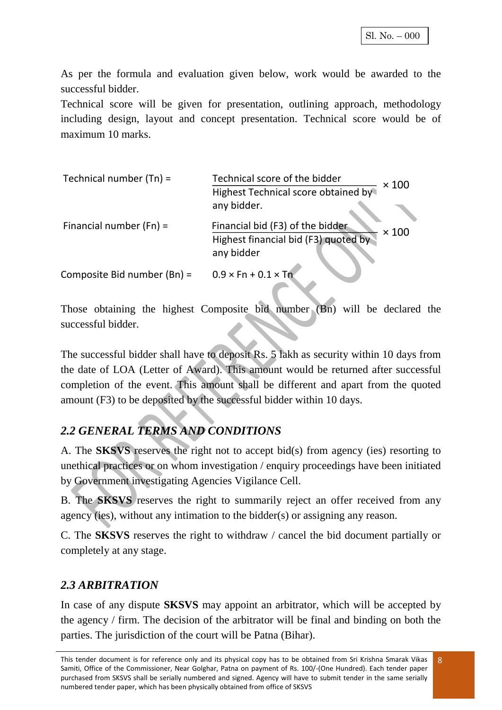As per the formula and evaluation given below, work would be awarded to the successful bidder.

Technical score will be given for presentation, outlining approach, methodology including design, layout and concept presentation. Technical score would be of maximum 10 marks.

| Technical number $(Tn)$ =   | Technical score of the bidder<br>$\times$ 100    |
|-----------------------------|--------------------------------------------------|
|                             | Highest Technical score obtained by              |
|                             | any bidder.                                      |
| Financial number $(Fn) =$   | Financial bid (F3) of the bidder<br>$\times$ 100 |
|                             | Highest financial bid (F3) quoted by             |
|                             | any bidder                                       |
| Composite Bid number (Bn) = | $0.9 \times$ Fn + 0.1 $\times$ Tn                |

Those obtaining the highest Composite bid number (Bn) will be declared the successful bidder.

The successful bidder shall have to deposit Rs. 5 lakh as security within 10 days from the date of LOA (Letter of Award). This amount would be returned after successful completion of the event. This amount shall be different and apart from the quoted amount (F3) to be deposited by the successful bidder within 10 days.

## *2.2 GENERAL TERMS AND CONDITIONS*

A. The **SKSVS** reserves the right not to accept bid(s) from agency (ies) resorting to unethical practices or on whom investigation / enquiry proceedings have been initiated by Government investigating Agencies Vigilance Cell.

B. The **SKSVS** reserves the right to summarily reject an offer received from any agency (ies), without any intimation to the bidder(s) or assigning any reason.

C. The **SKSVS** reserves the right to withdraw / cancel the bid document partially or completely at any stage.

### *2.3 ARBITRATION*

In case of any dispute **SKSVS** may appoint an arbitrator, which will be accepted by the agency / firm. The decision of the arbitrator will be final and binding on both the parties. The jurisdiction of the court will be Patna (Bihar).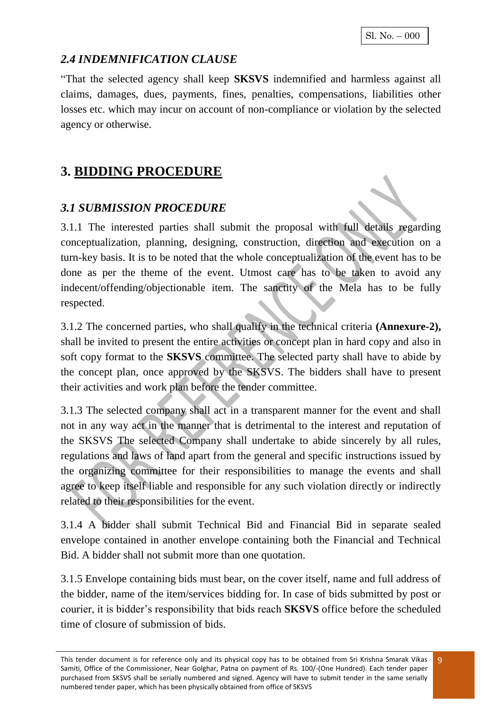Sl. No. – 000

### *2.4 INDEMNIFICATION CLAUSE*

"That the selected agency shall keep **SKSVS** indemnified and harmless against all claims, damages, dues, payments, fines, penalties, compensations, liabilities other losses etc. which may incur on account of non-compliance or violation by the selected agency or otherwise.

# **3. BIDDING PROCEDURE**

### *3.1 SUBMISSION PROCEDURE*

3.1.1 The interested parties shall submit the proposal with full details regarding conceptualization, planning, designing, construction, direction and execution on a turn-key basis. It is to be noted that the whole conceptualization of the event has to be done as per the theme of the event. Utmost care has to be taken to avoid any indecent/offending/objectionable item. The sanctity of the Mela has to be fully respected.

3.1.2 The concerned parties, who shall qualify in the technical criteria **(Annexure-2),**  shall be invited to present the entire activities or concept plan in hard copy and also in soft copy format to the **SKSVS** committee. The selected party shall have to abide by the concept plan, once approved by the SKSVS. The bidders shall have to present their activities and work plan before the tender committee.

3.1.3 The selected company shall act in a transparent manner for the event and shall not in any way act in the manner that is detrimental to the interest and reputation of the SKSVS The selected Company shall undertake to abide sincerely by all rules, regulations and laws of land apart from the general and specific instructions issued by the organizing committee for their responsibilities to manage the events and shall agree to keep itself liable and responsible for any such violation directly or indirectly related to their responsibilities for the event.

3.1.4 A bidder shall submit Technical Bid and Financial Bid in separate sealed envelope contained in another envelope containing both the Financial and Technical Bid. A bidder shall not submit more than one quotation.

3.1.5 Envelope containing bids must bear, on the cover itself, name and full address of the bidder, name of the item/services bidding for. In case of bids submitted by post or courier, it is bidder's responsibility that bids reach **SKSVS** office before the scheduled time of closure of submission of bids.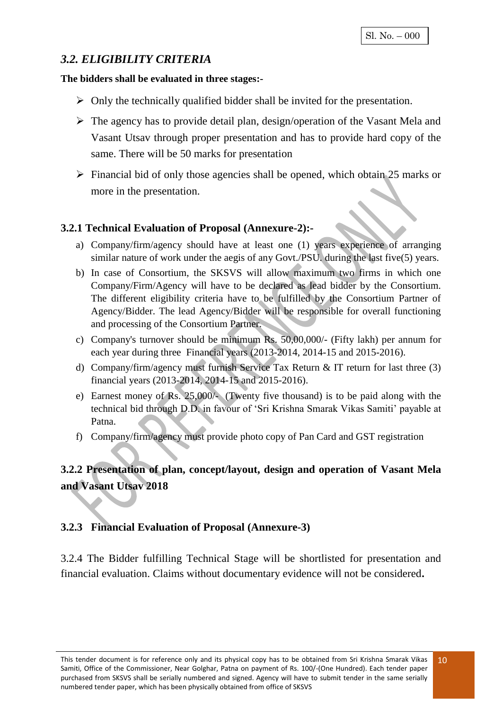#### *3.2. ELIGIBILITY CRITERIA*

#### **The bidders shall be evaluated in three stages:-**

- $\triangleright$  Only the technically qualified bidder shall be invited for the presentation.
- $\triangleright$  The agency has to provide detail plan, design/operation of the Vasant Mela and Vasant Utsav through proper presentation and has to provide hard copy of the same. There will be 50 marks for presentation
- $\triangleright$  Financial bid of only those agencies shall be opened, which obtain 25 marks or more in the presentation.

#### **3.2.1 Technical Evaluation of Proposal (Annexure-2):-**

- a) Company/firm/agency should have at least one (1) years experience of arranging similar nature of work under the aegis of any Govt./PSU. during the last five(5) years.
- b) In case of Consortium, the SKSVS will allow maximum two firms in which one Company/Firm/Agency will have to be declared as lead bidder by the Consortium. The different eligibility criteria have to be fulfilled by the Consortium Partner of Agency/Bidder. The lead Agency/Bidder will be responsible for overall functioning and processing of the Consortium Partner.
- c) Company's turnover should be minimum Rs. 50,00,000/- (Fifty lakh) per annum for each year during three Financial years (2013-2014, 2014-15 and 2015-2016).
- d) Company/firm/agency must furnish Service Tax Return & IT return for last three (3) financial years (2013-2014, 2014-15 and 2015-2016).
- e) Earnest money of Rs. 25,000/- (Twenty five thousand) is to be paid along with the technical bid through D.D. in favour of 'Sri Krishna Smarak Vikas Samiti' payable at Patna.
- f) Company/firm/agency must provide photo copy of Pan Card and GST registration

### **3.2.2 Presentation of plan, concept/layout, design and operation of Vasant Mela and Vasant Utsav 2018**

#### **3.2.3 Financial Evaluation of Proposal (Annexure-3)**

3.2.4 The Bidder fulfilling Technical Stage will be shortlisted for presentation and financial evaluation. Claims without documentary evidence will not be considered**.**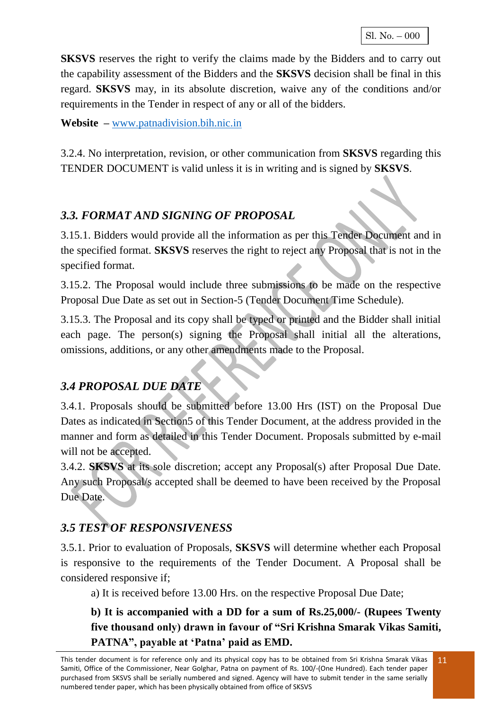**SKSVS** reserves the right to verify the claims made by the Bidders and to carry out the capability assessment of the Bidders and the **SKSVS** decision shall be final in this regard. **SKSVS** may, in its absolute discretion, waive any of the conditions and/or requirements in the Tender in respect of any or all of the bidders.

**Website –** [www.patnadivision.bih.nic.in](http://www.patnadivision.bih.nic.in/)

3.2.4. No interpretation, revision, or other communication from **SKSVS** regarding this TENDER DOCUMENT is valid unless it is in writing and is signed by **SKSVS**.

## *3.3. FORMAT AND SIGNING OF PROPOSAL*

3.15.1. Bidders would provide all the information as per this Tender Document and in the specified format. **SKSVS** reserves the right to reject any Proposal that is not in the specified format.

3.15.2. The Proposal would include three submissions to be made on the respective Proposal Due Date as set out in Section-5 (Tender Document Time Schedule).

3.15.3. The Proposal and its copy shall be typed or printed and the Bidder shall initial each page. The person(s) signing the Proposal shall initial all the alterations, omissions, additions, or any other amendments made to the Proposal.

## *3.4 PROPOSAL DUE DATE*

3.4.1. Proposals should be submitted before 13.00 Hrs (IST) on the Proposal Due Dates as indicated in Section5 of this Tender Document, at the address provided in the manner and form as detailed in this Tender Document. Proposals submitted by e-mail will not be accepted.

3.4.2. **SKSVS** at its sole discretion; accept any Proposal(s) after Proposal Due Date. Any such Proposal/s accepted shall be deemed to have been received by the Proposal Due Date.

## *3.5 TEST OF RESPONSIVENESS*

3.5.1. Prior to evaluation of Proposals, **SKSVS** will determine whether each Proposal is responsive to the requirements of the Tender Document. A Proposal shall be considered responsive if;

a) It is received before 13.00 Hrs. on the respective Proposal Due Date;

**b) It is accompanied with a DD for a sum of Rs.25,000/- (Rupees Twenty five thousand only) drawn in favour of "Sri Krishna Smarak Vikas Samiti,**  PATNA", payable at 'Patna' paid as **EMD**.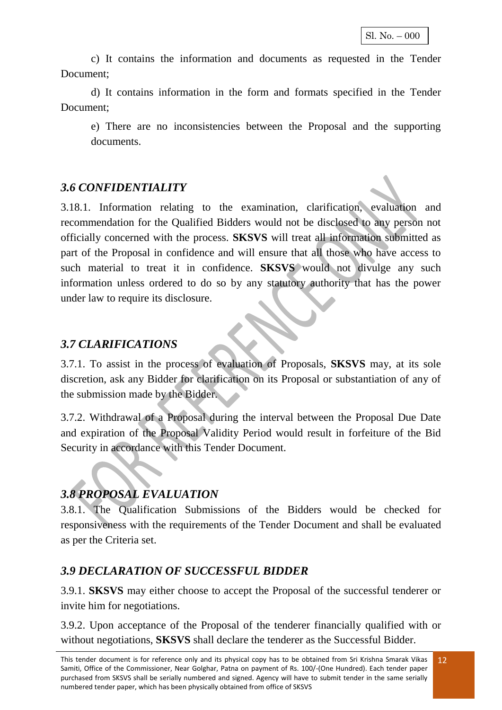c) It contains the information and documents as requested in the Tender Document;

d) It contains information in the form and formats specified in the Tender Document;

e) There are no inconsistencies between the Proposal and the supporting documents.

#### *3.6 CONFIDENTIALITY*

3.18.1. Information relating to the examination, clarification, evaluation and recommendation for the Qualified Bidders would not be disclosed to any person not officially concerned with the process. **SKSVS** will treat all information submitted as part of the Proposal in confidence and will ensure that all those who have access to such material to treat it in confidence. **SKSVS** would not divulge any such information unless ordered to do so by any statutory authority that has the power under law to require its disclosure.

#### *3.7 CLARIFICATIONS*

3.7.1. To assist in the process of evaluation of Proposals, **SKSVS** may, at its sole discretion, ask any Bidder for clarification on its Proposal or substantiation of any of the submission made by the Bidder.

3.7.2. Withdrawal of a Proposal during the interval between the Proposal Due Date and expiration of the Proposal Validity Period would result in forfeiture of the Bid Security in accordance with this Tender Document.

## *3.8 PROPOSAL EVALUATION*

3.8.1. The Qualification Submissions of the Bidders would be checked for responsiveness with the requirements of the Tender Document and shall be evaluated as per the Criteria set.

## *3.9 DECLARATION OF SUCCESSFUL BIDDER*

3.9.1. **SKSVS** may either choose to accept the Proposal of the successful tenderer or invite him for negotiations.

3.9.2. Upon acceptance of the Proposal of the tenderer financially qualified with or without negotiations, **SKSVS** shall declare the tenderer as the Successful Bidder.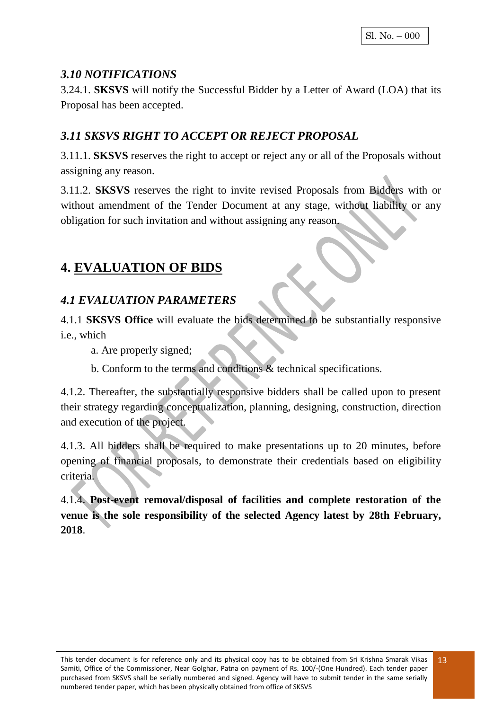#### *3.10 NOTIFICATIONS*

3.24.1. **SKSVS** will notify the Successful Bidder by a Letter of Award (LOA) that its Proposal has been accepted.

## *3.11 SKSVS RIGHT TO ACCEPT OR REJECT PROPOSAL*

3.11.1. **SKSVS** reserves the right to accept or reject any or all of the Proposals without assigning any reason.

3.11.2. **SKSVS** reserves the right to invite revised Proposals from Bidders with or without amendment of the Tender Document at any stage, without liability or any obligation for such invitation and without assigning any reason.

## **4. EVALUATION OF BIDS**

### *4.1 EVALUATION PARAMETERS*

4.1.1 **SKSVS Office** will evaluate the bids determined to be substantially responsive i.e., which

a. Are properly signed;

b. Conform to the terms and conditions & technical specifications.

4.1.2. Thereafter, the substantially responsive bidders shall be called upon to present their strategy regarding conceptualization, planning, designing, construction, direction and execution of the project.

4.1.3. All bidders shall be required to make presentations up to 20 minutes, before opening of financial proposals, to demonstrate their credentials based on eligibility criteria.

4.1.4. **Post-event removal/disposal of facilities and complete restoration of the venue is the sole responsibility of the selected Agency latest by 28th February, 2018**.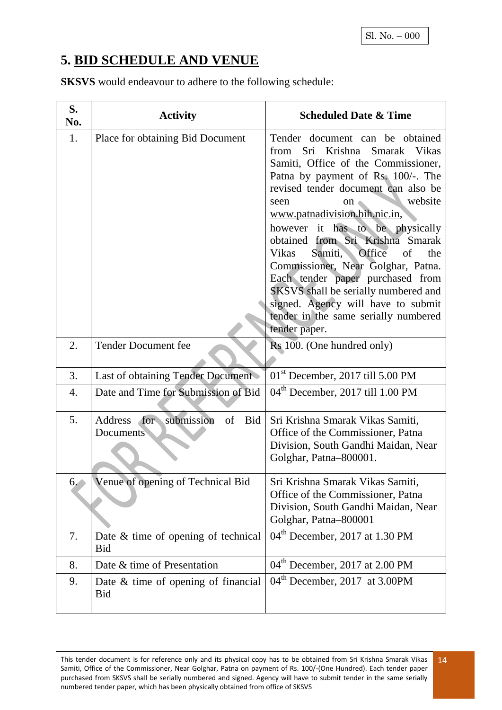# **5. BID SCHEDULE AND VENUE**

**SKSVS** would endeavour to adhere to the following schedule:

| S.<br>No. | <b>Activity</b>                                        | <b>Scheduled Date &amp; Time</b>                                                                                                                                                                                                                                                                                                                                                                                                                                                                                                                                                               |
|-----------|--------------------------------------------------------|------------------------------------------------------------------------------------------------------------------------------------------------------------------------------------------------------------------------------------------------------------------------------------------------------------------------------------------------------------------------------------------------------------------------------------------------------------------------------------------------------------------------------------------------------------------------------------------------|
| 1.        | Place for obtaining Bid Document                       | Tender document can be obtained<br>Sri Krishna<br>Smarak Vikas<br>from<br>Samiti, Office of the Commissioner,<br>Patna by payment of Rs. 100/-. The<br>revised tender document can also be<br>website<br>seen<br>on<br>www.patnadivision.bih.nic.in,<br>however it has to be physically<br>obtained from Sri Krishna Smarak<br>Office<br><b>Vikas</b><br>Samiti,<br>of<br>the<br>Commissioner, Near Golghar, Patna.<br>Each tender paper purchased from<br>SKSVS shall be serially numbered and<br>signed. Agency will have to submit<br>tender in the same serially numbered<br>tender paper. |
| 2.        | <b>Tender Document fee</b>                             | Rs 100. (One hundred only)                                                                                                                                                                                                                                                                                                                                                                                                                                                                                                                                                                     |
| 3.        | Last of obtaining Tender Document                      | $01st$ December, 2017 till 5.00 PM                                                                                                                                                                                                                                                                                                                                                                                                                                                                                                                                                             |
| 4.        | Date and Time for Submission of Bid                    | 04 <sup>th</sup> December, 2017 till 1.00 PM                                                                                                                                                                                                                                                                                                                                                                                                                                                                                                                                                   |
| 5.        | submission<br>for<br>Address<br>of<br>Bid<br>Documents | Sri Krishna Smarak Vikas Samiti,<br>Office of the Commissioner, Patna<br>Division, South Gandhi Maidan, Near<br>Golghar, Patna-800001.                                                                                                                                                                                                                                                                                                                                                                                                                                                         |
| 6.        | Venue of opening of Technical Bid                      | Sri Krishna Smarak Vikas Samiti,<br>Office of the Commissioner, Patna<br>Division, South Gandhi Maidan, Near<br>Golghar, Patna-800001                                                                                                                                                                                                                                                                                                                                                                                                                                                          |
| 7.        | Date & time of opening of technical<br><b>Bid</b>      | 04 <sup>th</sup> December, 2017 at 1.30 PM                                                                                                                                                                                                                                                                                                                                                                                                                                                                                                                                                     |
| 8.        | Date & time of Presentation                            | 04 <sup>th</sup> December, 2017 at 2.00 PM                                                                                                                                                                                                                                                                                                                                                                                                                                                                                                                                                     |
| 9.        | Date & time of opening of financial<br><b>Bid</b>      | 04 <sup>th</sup> December, 2017 at 3.00PM                                                                                                                                                                                                                                                                                                                                                                                                                                                                                                                                                      |

This tender document is for reference only and its physical copy has to be obtained from Sri Krishna Smarak Vikas Samiti, Office of the Commissioner, Near Golghar, Patna on payment of Rs. 100/-(One Hundred). Each tender paper purchased from SKSVS shall be serially numbered and signed. Agency will have to submit tender in the same serially numbered tender paper, which has been physically obtained from office of SKSVS 14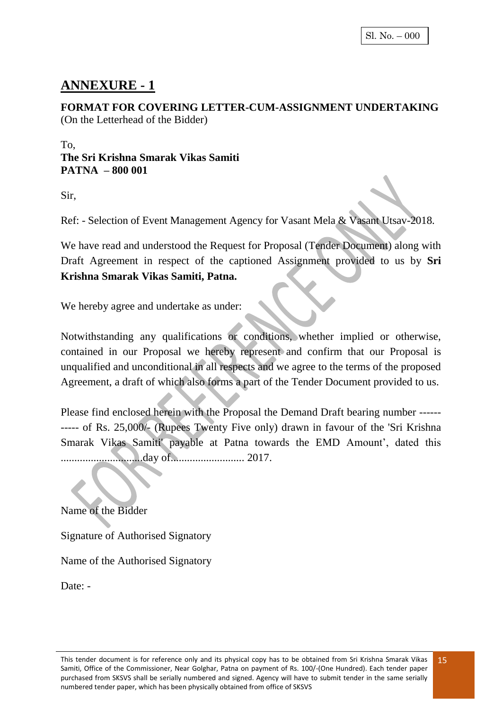# **ANNEXURE - 1**

**FORMAT FOR COVERING LETTER-CUM-ASSIGNMENT UNDERTAKING**  (On the Letterhead of the Bidder)

#### To, **The Sri Krishna Smarak Vikas Samiti PATNA – 800 001**

Sir,

Ref: - Selection of Event Management Agency for Vasant Mela & Vasant Utsav-2018.

We have read and understood the Request for Proposal (Tender Document) along with Draft Agreement in respect of the captioned Assignment provided to us by **Sri Krishna Smarak Vikas Samiti, Patna.**

We hereby agree and undertake as under:

Notwithstanding any qualifications or conditions, whether implied or otherwise, contained in our Proposal we hereby represent and confirm that our Proposal is unqualified and unconditional in all respects and we agree to the terms of the proposed Agreement, a draft of which also forms a part of the Tender Document provided to us.

Please find enclosed herein with the Proposal the Demand Draft bearing number ------ ----- of Rs. 25,000/- (Rupees Twenty Five only) drawn in favour of the 'Sri Krishna Smarak Vikas Samiti' payable at Patna towards the EMD Amount', dated this ..............................day of........................... 2017.

Name of the Bidder

Signature of Authorised Signatory

Name of the Authorised Signatory

Date: -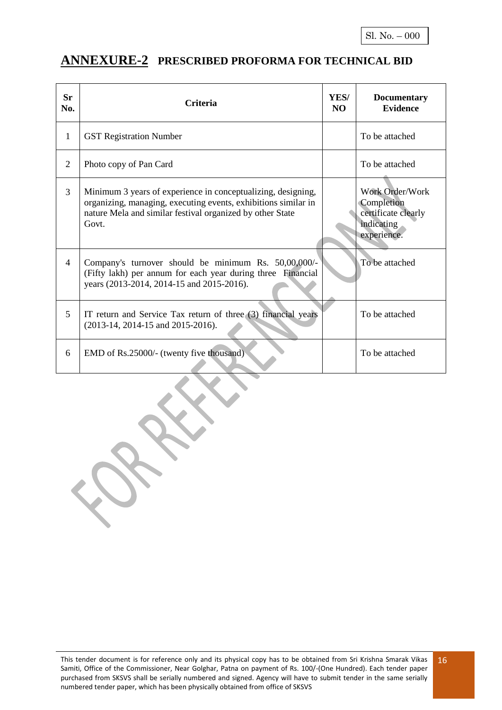## **ANNEXURE-2 PRESCRIBED PROFORMA FOR TECHNICAL BID**

| <b>Sr</b><br>No. | <b>Criteria</b>                                                                                                                                                                                      | YES/<br>NO. | <b>Documentary</b><br><b>Evidence</b>                                             |
|------------------|------------------------------------------------------------------------------------------------------------------------------------------------------------------------------------------------------|-------------|-----------------------------------------------------------------------------------|
| $\mathbf{1}$     | <b>GST Registration Number</b>                                                                                                                                                                       |             | To be attached                                                                    |
| $\overline{2}$   | Photo copy of Pan Card                                                                                                                                                                               |             | To be attached                                                                    |
| 3                | Minimum 3 years of experience in conceptualizing, designing,<br>organizing, managing, executing events, exhibitions similar in<br>nature Mela and similar festival organized by other State<br>Govt. |             | Work Order/Work<br>Completion<br>certificate clearly<br>indicating<br>experience. |
| 4                | Company's turnover should be minimum Rs. 50,00,000/-<br>(Fifty lakh) per annum for each year during three Financial<br>years (2013-2014, 2014-15 and 2015-2016).                                     |             | To be attached                                                                    |
| 5                | IT return and Service Tax return of three (3) financial years<br>$(2013-14, 2014-15, and 2015-2016).$                                                                                                |             | To be attached                                                                    |
| 6                | EMD of Rs.25000/- (twenty five thousand)                                                                                                                                                             |             | To be attached                                                                    |

XXX

 $\mathcal{C}$ 

This tender document is for reference only and its physical copy has to be obtained from Sri Krishna Smarak Vikas Samiti, Office of the Commissioner, Near Golghar, Patna on payment of Rs. 100/-(One Hundred). Each tender paper purchased from SKSVS shall be serially numbered and signed. Agency will have to submit tender in the same serially numbered tender paper, which has been physically obtained from office of SKSVS 16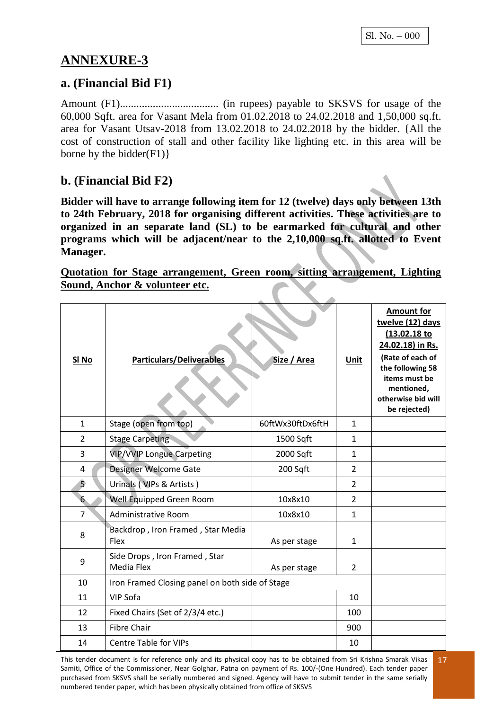# **ANNEXURE-3**

#### **a. (Financial Bid F1)**

Amount (F1).................................... (in rupees) payable to SKSVS for usage of the 60,000 Sqft. area for Vasant Mela from 01.02.2018 to 24.02.2018 and 1,50,000 sq.ft. area for Vasant Utsav-2018 from 13.02.2018 to 24.02.2018 by the bidder. {All the cost of construction of stall and other facility like lighting etc. in this area will be borne by the bidder $(F1)$ }

### **b. (Financial Bid F2)**

**Bidder will have to arrange following item for 12 (twelve) days only between 13th to 24th February, 2018 for organising different activities. These activities are to organized in an separate land (SL) to be earmarked for cultural and other programs which will be adjacent/near to the 2,10,000 sq.ft. allotted to Event Manager.**

#### **Quotation for Stage arrangement, Green room, sitting arrangement, Lighting Sound, Anchor & volunteer etc.**

| SI <sub>No</sub> | <b>Particulars/Deliverables</b>                  | Size / Area      | <b>Unit</b>    | <b>Amount for</b><br>twelve (12) days<br>(13.02.18 to<br>24.02.18) in Rs.<br>(Rate of each of<br>the following 58<br>items must be<br>mentioned,<br>otherwise bid will<br>be rejected) |
|------------------|--------------------------------------------------|------------------|----------------|----------------------------------------------------------------------------------------------------------------------------------------------------------------------------------------|
| $\mathbf{1}$     | Stage (open from top)                            | 60ftWx30ftDx6ftH | $\mathbf{1}$   |                                                                                                                                                                                        |
| $\overline{2}$   | <b>Stage Carpeting</b>                           | 1500 Sqft        | $\mathbf{1}$   |                                                                                                                                                                                        |
| 3                | <b>VIP/VVIP Longue Carpeting</b>                 | 2000 Sqft        | $\mathbf{1}$   |                                                                                                                                                                                        |
| 4                | Designer Welcome Gate                            | 200 Sqft         | $\overline{2}$ |                                                                                                                                                                                        |
| Ŝ.               | Urinals (VIPs & Artists)                         |                  | $\overline{2}$ |                                                                                                                                                                                        |
| $6\phantom{.}$   | Well Equipped Green Room                         | 10x8x10          | $\overline{2}$ |                                                                                                                                                                                        |
| $\overline{7}$   | Administrative Room                              | 10x8x10          | $\mathbf{1}$   |                                                                                                                                                                                        |
| 8                | Backdrop, Iron Framed, Star Media<br><b>Flex</b> | As per stage     | $\mathbf{1}$   |                                                                                                                                                                                        |
| 9                | Side Drops, Iron Framed, Star<br>Media Flex      | As per stage     | $\overline{2}$ |                                                                                                                                                                                        |
| 10               | Iron Framed Closing panel on both side of Stage  |                  |                |                                                                                                                                                                                        |
| 11               | VIP Sofa                                         |                  | 10             |                                                                                                                                                                                        |
| 12               | Fixed Chairs (Set of 2/3/4 etc.)                 |                  | 100            |                                                                                                                                                                                        |
| 13               | <b>Fibre Chair</b>                               |                  | 900            |                                                                                                                                                                                        |
| 14               | <b>Centre Table for VIPs</b>                     |                  | 10             |                                                                                                                                                                                        |

This tender document is for reference only and its physical copy has to be obtained from Sri Krishna Smarak Vikas Samiti, Office of the Commissioner, Near Golghar, Patna on payment of Rs. 100/-(One Hundred). Each tender paper purchased from SKSVS shall be serially numbered and signed. Agency will have to submit tender in the same serially numbered tender paper, which has been physically obtained from office of SKSVS 17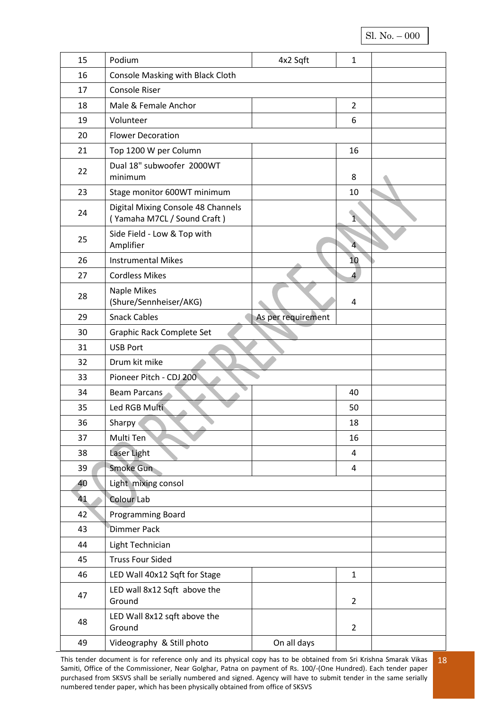#### Sl. No. – 000

| 15                        | Podium                                                            | 4x2 Sqft           | $\mathbf 1$    |  |
|---------------------------|-------------------------------------------------------------------|--------------------|----------------|--|
| 16                        | Console Masking with Black Cloth                                  |                    |                |  |
| 17                        | Console Riser                                                     |                    |                |  |
| 18                        | Male & Female Anchor                                              |                    | $\overline{2}$ |  |
| 19                        | Volunteer                                                         |                    | 6              |  |
| 20                        | <b>Flower Decoration</b>                                          |                    |                |  |
| 21                        | Top 1200 W per Column                                             |                    | 16             |  |
| 22                        | Dual 18" subwoofer 2000WT<br>minimum                              |                    | 8              |  |
| 23                        | Stage monitor 600WT minimum                                       |                    | 10             |  |
| 24                        | Digital Mixing Console 48 Channels<br>(Yamaha M7CL / Sound Craft) |                    | $\overline{1}$ |  |
| 25                        | Side Field - Low & Top with<br>Amplifier                          |                    | $\overline{4}$ |  |
| 26                        | <b>Instrumental Mikes</b>                                         |                    | 10             |  |
| 27                        | <b>Cordless Mikes</b>                                             |                    | 4              |  |
| 28                        | Naple Mikes<br>(Shure/Sennheiser/AKG)                             |                    | 4              |  |
| 29                        | <b>Snack Cables</b>                                               | As per requirement |                |  |
| 30                        | Graphic Rack Complete Set                                         |                    |                |  |
| 31                        | <b>USB Port</b>                                                   |                    |                |  |
| 32                        | Drum kit mike                                                     |                    |                |  |
| 33                        | Pioneer Pitch - CDJ 200                                           |                    |                |  |
| 34                        | <b>Beam Parcans</b>                                               |                    | 40             |  |
| 35                        | Led RGB Multi                                                     |                    | 50             |  |
| 36                        | Sharpy                                                            |                    | 18             |  |
| 37                        | Multi Ten                                                         |                    | 16             |  |
| 38                        | Laser Light                                                       |                    | $\overline{4}$ |  |
| 39                        | Smoke Gun                                                         |                    | 4              |  |
| Light mixing consol<br>40 |                                                                   |                    |                |  |
| 41                        | Colour Lab                                                        |                    |                |  |
| 42                        | Programming Board                                                 |                    |                |  |
| 43                        | Dimmer Pack                                                       |                    |                |  |
| 44                        | Light Technician                                                  |                    |                |  |
| 45                        | <b>Truss Four Sided</b>                                           |                    |                |  |
| 46                        | LED Wall 40x12 Sqft for Stage                                     |                    | $\mathbf{1}$   |  |
| 47                        | LED wall 8x12 Sqft above the<br>Ground                            |                    | $\overline{2}$ |  |
| 48                        | LED Wall 8x12 sqft above the<br>Ground                            |                    | $\overline{2}$ |  |
| 49                        | Videography & Still photo                                         | On all days        |                |  |

This tender document is for reference only and its physical copy has to be obtained from Sri Krishna Smarak Vikas Samiti, Office of the Commissioner, Near Golghar, Patna on payment of Rs. 100/-(One Hundred). Each tender paper purchased from SKSVS shall be serially numbered and signed. Agency will have to submit tender in the same serially numbered tender paper, which has been physically obtained from office of SKSVS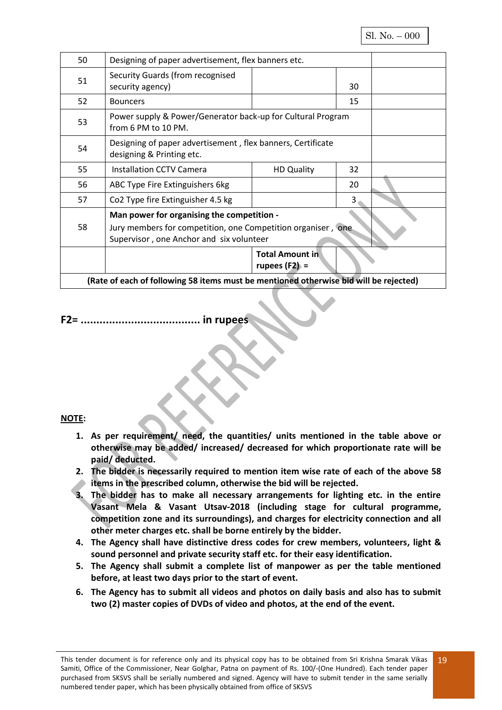| 50 | Designing of paper advertisement, flex banners etc.                                      |                        |    |  |
|----|------------------------------------------------------------------------------------------|------------------------|----|--|
| 51 | Security Guards (from recognised                                                         |                        |    |  |
|    | security agency)                                                                         |                        | 30 |  |
| 52 | <b>Bouncers</b>                                                                          |                        | 15 |  |
| 53 | Power supply & Power/Generator back-up for Cultural Program<br>from 6 PM to 10 PM.       |                        |    |  |
|    |                                                                                          |                        |    |  |
| 54 | Designing of paper advertisement, flex banners, Certificate<br>designing & Printing etc. |                        |    |  |
| 55 | <b>Installation CCTV Camera</b>                                                          | <b>HD Quality</b>      | 32 |  |
| 56 | ABC Type Fire Extinguishers 6kg                                                          |                        | 20 |  |
| 57 | Co2 Type fire Extinguisher 4.5 kg                                                        |                        | З. |  |
|    | Man power for organising the competition -                                               |                        |    |  |
| 58 | Jury members for competition, one Competition organiser, one                             |                        |    |  |
|    | Supervisor, one Anchor and six volunteer                                                 |                        |    |  |
|    |                                                                                          | <b>Total Amount in</b> |    |  |
|    |                                                                                          | rupees $(F2) =$        |    |  |
|    | (Rate of each of following 58 items must be mentioned otherwise bid will be rejected)    |                        |    |  |

#### **F2= ...................................... in rupees**

#### **NOTE:**

- **1. As per requirement/ need, the quantities/ units mentioned in the table above or otherwise may be added/ increased/ decreased for which proportionate rate will be paid/ deducted.**
- **2. The bidder is necessarily required to mention item wise rate of each of the above 58 items in the prescribed column, otherwise the bid will be rejected.**
- **3. The bidder has to make all necessary arrangements for lighting etc. in the entire Vasant Mela & Vasant Utsav-2018 (including stage for cultural programme, competition zone and its surroundings), and charges for electricity connection and all other meter charges etc. shall be borne entirely by the bidder.**
- **4. The Agency shall have distinctive dress codes for crew members, volunteers, light & sound personnel and private security staff etc. for their easy identification.**
- **5. The Agency shall submit a complete list of manpower as per the table mentioned before, at least two days prior to the start of event.**
- **6. The Agency has to submit all videos and photos on daily basis and also has to submit two (2) master copies of DVDs of video and photos, at the end of the event.**